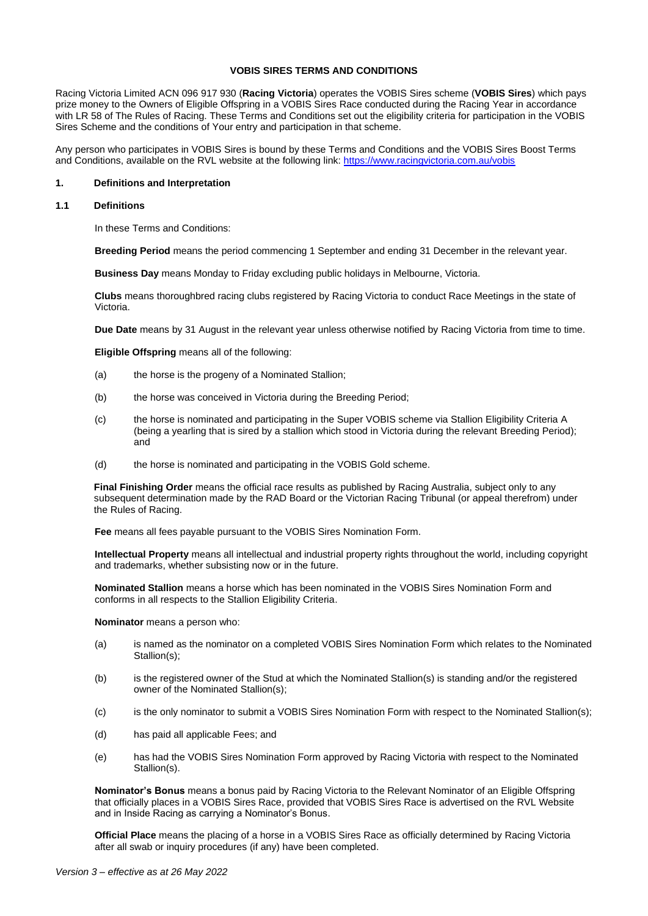### **VOBIS SIRES TERMS AND CONDITIONS**

Racing Victoria Limited ACN 096 917 930 (**Racing Victoria**) operates the VOBIS Sires scheme (**VOBIS Sires**) which pays prize money to the Owners of Eligible Offspring in a VOBIS Sires Race conducted during the Racing Year in accordance with LR 58 of The Rules of Racing. These Terms and Conditions set out the eligibility criteria for participation in the VOBIS Sires Scheme and the conditions of Your entry and participation in that scheme.

Any person who participates in VOBIS Sires is bound by these Terms and Conditions and the VOBIS Sires Boost Terms and Conditions, available on the RVL website at the following link[: https://www.racingvictoria.com.au/vobis](https://www.racingvictoria.com.au/vobis)

## **1. Definitions and Interpretation**

#### **1.1 Definitions**

In these Terms and Conditions:

**Breeding Period** means the period commencing 1 September and ending 31 December in the relevant year.

**Business Day** means Monday to Friday excluding public holidays in Melbourne, Victoria.

**Clubs** means thoroughbred racing clubs registered by Racing Victoria to conduct Race Meetings in the state of Victoria.

**Due Date** means by 31 August in the relevant year unless otherwise notified by Racing Victoria from time to time.

**Eligible Offspring** means all of the following:

- (a) the horse is the progeny of a Nominated Stallion;
- (b) the horse was conceived in Victoria during the Breeding Period;
- (c) the horse is nominated and participating in the Super VOBIS scheme via Stallion Eligibility Criteria A (being a yearling that is sired by a stallion which stood in Victoria during the relevant Breeding Period); and
- (d) the horse is nominated and participating in the VOBIS Gold scheme.

**Final Finishing Order** means the official race results as published by Racing Australia, subject only to any subsequent determination made by the RAD Board or the Victorian Racing Tribunal (or appeal therefrom) under the Rules of Racing.

**Fee** means all fees payable pursuant to the VOBIS Sires Nomination Form.

**Intellectual Property** means all intellectual and industrial property rights throughout the world, including copyright and trademarks, whether subsisting now or in the future.

**Nominated Stallion** means a horse which has been nominated in the VOBIS Sires Nomination Form and conforms in all respects to the Stallion Eligibility Criteria.

**Nominator** means a person who:

- (a) is named as the nominator on a completed VOBIS Sires Nomination Form which relates to the Nominated Stallion(s);
- (b) is the registered owner of the Stud at which the Nominated Stallion(s) is standing and/or the registered owner of the Nominated Stallion(s);
- (c) is the only nominator to submit a VOBIS Sires Nomination Form with respect to the Nominated Stallion(s);
- (d) has paid all applicable Fees; and
- (e) has had the VOBIS Sires Nomination Form approved by Racing Victoria with respect to the Nominated Stallion(s).

**Nominator's Bonus** means a bonus paid by Racing Victoria to the Relevant Nominator of an Eligible Offspring that officially places in a VOBIS Sires Race, provided that VOBIS Sires Race is advertised on the RVL Website and in Inside Racing as carrying a Nominator's Bonus.

**Official Place** means the placing of a horse in a VOBIS Sires Race as officially determined by Racing Victoria after all swab or inquiry procedures (if any) have been completed.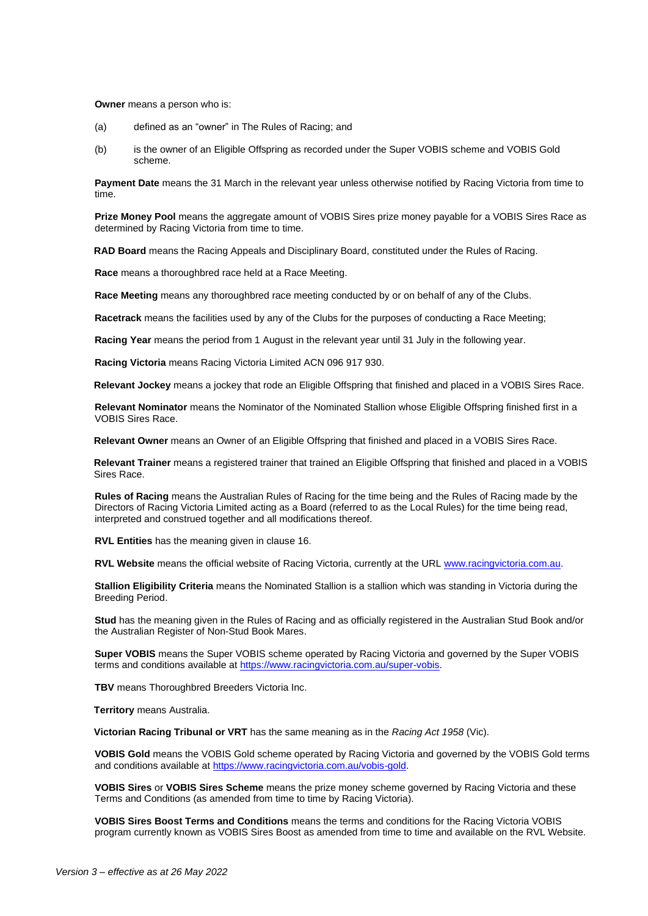**Owner** means a person who is:

- (a) defined as an "owner" in The Rules of Racing; and
- (b) is the owner of an Eligible Offspring as recorded under the Super VOBIS scheme and VOBIS Gold scheme.

**Payment Date** means the 31 March in the relevant year unless otherwise notified by Racing Victoria from time to time.

**Prize Money Pool** means the aggregate amount of VOBIS Sires prize money payable for a VOBIS Sires Race as determined by Racing Victoria from time to time.

**RAD Board** means the Racing Appeals and Disciplinary Board, constituted under the Rules of Racing.

**Race** means a thoroughbred race held at a Race Meeting.

**Race Meeting** means any thoroughbred race meeting conducted by or on behalf of any of the Clubs.

**Racetrack** means the facilities used by any of the Clubs for the purposes of conducting a Race Meeting;

**Racing Year** means the period from 1 August in the relevant year until 31 July in the following year.

**Racing Victoria** means Racing Victoria Limited ACN 096 917 930.

**Relevant Jockey** means a jockey that rode an Eligible Offspring that finished and placed in a VOBIS Sires Race.

**Relevant Nominator** means the Nominator of the Nominated Stallion whose Eligible Offspring finished first in a VOBIS Sires Race.

**Relevant Owner** means an Owner of an Eligible Offspring that finished and placed in a VOBIS Sires Race.

**Relevant Trainer** means a registered trainer that trained an Eligible Offspring that finished and placed in a VOBIS Sires Race.

**Rules of Racing** means the Australian Rules of Racing for the time being and the Rules of Racing made by the Directors of Racing Victoria Limited acting as a Board (referred to as the Local Rules) for the time being read, interpreted and construed together and all modifications thereof.

**RVL Entities** has the meaning given in clause 16.

**RVL Website** means the official website of Racing Victoria, currently at the URL [www.racingvictoria.com.au.](http://www.racingvictoria.com.au/)

**Stallion Eligibility Criteria** means the Nominated Stallion is a stallion which was standing in Victoria during the Breeding Period.

**Stud** has the meaning given in the Rules of Racing and as officially registered in the Australian Stud Book and/or the Australian Register of Non-Stud Book Mares.

**Super VOBIS** means the Super VOBIS scheme operated by Racing Victoria and governed by the Super VOBIS terms and conditions available a[t https://www.racingvictoria.com.au/super-vobis.](https://www.racingvictoria.com.au/super-vobis)

**TBV** means Thoroughbred Breeders Victoria Inc.

**Territory** means Australia.

**Victorian Racing Tribunal or VRT** has the same meaning as in the *Racing Act 1958* (Vic).

**VOBIS Gold** means the VOBIS Gold scheme operated by Racing Victoria and governed by the VOBIS Gold terms and conditions available a[t https://www.racingvictoria.com.au/vobis-gold.](https://www.racingvictoria.com.au/vobis-gold)

**VOBIS Sires** or **VOBIS Sires Scheme** means the prize money scheme governed by Racing Victoria and these Terms and Conditions (as amended from time to time by Racing Victoria).

**VOBIS Sires Boost Terms and Conditions** means the terms and conditions for the Racing Victoria VOBIS program currently known as VOBIS Sires Boost as amended from time to time and available on the RVL Website.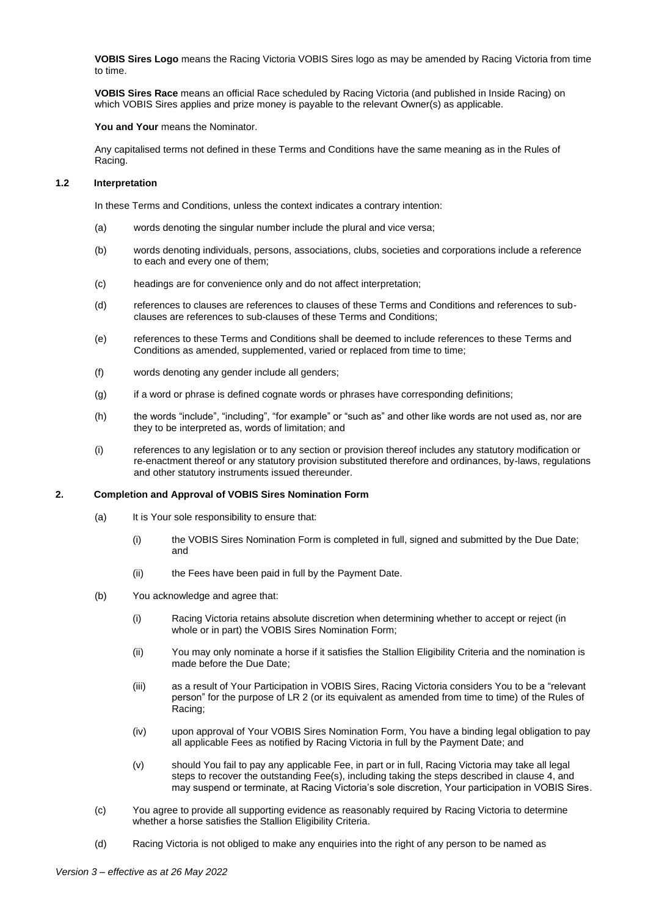**VOBIS Sires Logo** means the Racing Victoria VOBIS Sires logo as may be amended by Racing Victoria from time to time.

**VOBIS Sires Race** means an official Race scheduled by Racing Victoria (and published in Inside Racing) on which VOBIS Sires applies and prize money is payable to the relevant Owner(s) as applicable.

**You and Your** means the Nominator.

Any capitalised terms not defined in these Terms and Conditions have the same meaning as in the Rules of Racing.

## **1.2 Interpretation**

In these Terms and Conditions, unless the context indicates a contrary intention:

- (a) words denoting the singular number include the plural and vice versa;
- (b) words denoting individuals, persons, associations, clubs, societies and corporations include a reference to each and every one of them;
- (c) headings are for convenience only and do not affect interpretation;
- (d) references to clauses are references to clauses of these Terms and Conditions and references to subclauses are references to sub-clauses of these Terms and Conditions;
- (e) references to these Terms and Conditions shall be deemed to include references to these Terms and Conditions as amended, supplemented, varied or replaced from time to time;
- (f) words denoting any gender include all genders;
- (g) if a word or phrase is defined cognate words or phrases have corresponding definitions;
- (h) the words "include", "including", "for example" or "such as" and other like words are not used as, nor are they to be interpreted as, words of limitation; and
- (i) references to any legislation or to any section or provision thereof includes any statutory modification or re-enactment thereof or any statutory provision substituted therefore and ordinances, by-laws, regulations and other statutory instruments issued thereunder.

#### **2. Completion and Approval of VOBIS Sires Nomination Form**

- (a) It is Your sole responsibility to ensure that:
	- (i) the VOBIS Sires Nomination Form is completed in full, signed and submitted by the Due Date; and
	- (ii) the Fees have been paid in full by the Payment Date.
- (b) You acknowledge and agree that:
	- (i) Racing Victoria retains absolute discretion when determining whether to accept or reject (in whole or in part) the VOBIS Sires Nomination Form;
	- (ii) You may only nominate a horse if it satisfies the Stallion Eligibility Criteria and the nomination is made before the Due Date;
	- (iii) as a result of Your Participation in VOBIS Sires, Racing Victoria considers You to be a "relevant person" for the purpose of LR 2 (or its equivalent as amended from time to time) of the Rules of Racing;
	- (iv) upon approval of Your VOBIS Sires Nomination Form, You have a binding legal obligation to pay all applicable Fees as notified by Racing Victoria in full by the Payment Date; and
	- (v) should You fail to pay any applicable Fee, in part or in full, Racing Victoria may take all legal steps to recover the outstanding Fee(s), including taking the steps described in clause 4, and may suspend or terminate, at Racing Victoria's sole discretion, Your participation in VOBIS Sires.
- (c) You agree to provide all supporting evidence as reasonably required by Racing Victoria to determine whether a horse satisfies the Stallion Eligibility Criteria.
- (d) Racing Victoria is not obliged to make any enquiries into the right of any person to be named as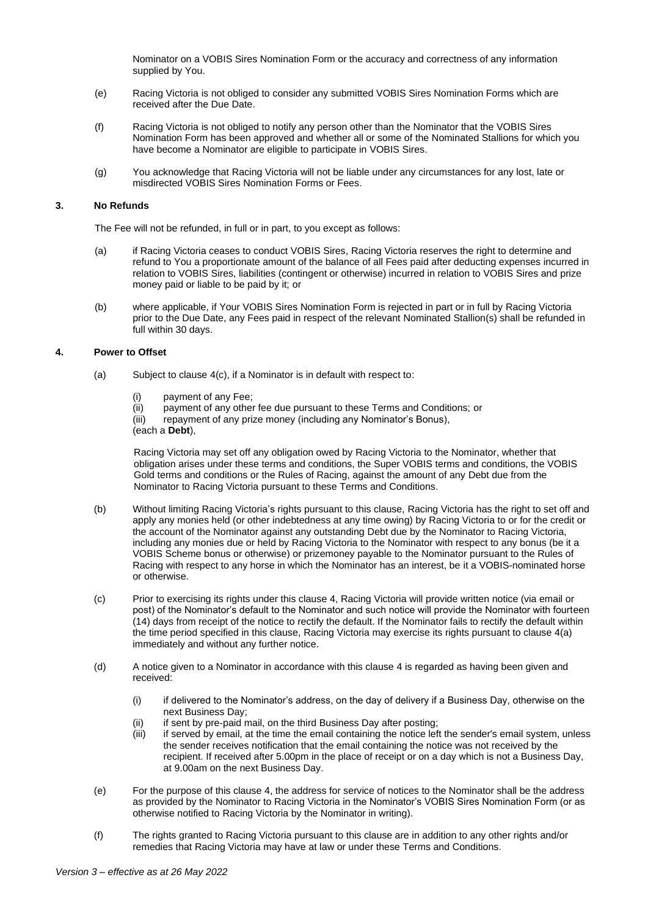Nominator on a VOBIS Sires Nomination Form or the accuracy and correctness of any information supplied by You.

- (e) Racing Victoria is not obliged to consider any submitted VOBIS Sires Nomination Forms which are received after the Due Date.
- (f) Racing Victoria is not obliged to notify any person other than the Nominator that the VOBIS Sires Nomination Form has been approved and whether all or some of the Nominated Stallions for which you have become a Nominator are eligible to participate in VOBIS Sires.
- (g) You acknowledge that Racing Victoria will not be liable under any circumstances for any lost, late or misdirected VOBIS Sires Nomination Forms or Fees.

### **3. No Refunds**

The Fee will not be refunded, in full or in part, to you except as follows:

- (a) if Racing Victoria ceases to conduct VOBIS Sires, Racing Victoria reserves the right to determine and refund to You a proportionate amount of the balance of all Fees paid after deducting expenses incurred in relation to VOBIS Sires, liabilities (contingent or otherwise) incurred in relation to VOBIS Sires and prize money paid or liable to be paid by it; or
- (b) where applicable, if Your VOBIS Sires Nomination Form is rejected in part or in full by Racing Victoria prior to the Due Date, any Fees paid in respect of the relevant Nominated Stallion(s) shall be refunded in full within 30 days.

## **4. Power to Offset**

- (a) Subject to clause 4(c), if a Nominator is in default with respect to:
	-
	- (i) payment of any Fee;<br>(ii) payment of any other payment of any other fee due pursuant to these Terms and Conditions; or

(iii) repayment of any prize money (including any Nominator's Bonus),

(each a **Debt**),

Racing Victoria may set off any obligation owed by Racing Victoria to the Nominator, whether that obligation arises under these terms and conditions, the Super VOBIS terms and conditions, the VOBIS Gold terms and conditions or the Rules of Racing, against the amount of any Debt due from the Nominator to Racing Victoria pursuant to these Terms and Conditions.

- (b) Without limiting Racing Victoria's rights pursuant to this clause, Racing Victoria has the right to set off and apply any monies held (or other indebtedness at any time owing) by Racing Victoria to or for the credit or the account of the Nominator against any outstanding Debt due by the Nominator to Racing Victoria, including any monies due or held by Racing Victoria to the Nominator with respect to any bonus (be it a VOBIS Scheme bonus or otherwise) or prizemoney payable to the Nominator pursuant to the Rules of Racing with respect to any horse in which the Nominator has an interest, be it a VOBIS-nominated horse or otherwise.
- (c) Prior to exercising its rights under this clause 4, Racing Victoria will provide written notice (via email or post) of the Nominator's default to the Nominator and such notice will provide the Nominator with fourteen (14) days from receipt of the notice to rectify the default. If the Nominator fails to rectify the default within the time period specified in this clause, Racing Victoria may exercise its rights pursuant to clause 4(a) immediately and without any further notice.
- (d) A notice given to a Nominator in accordance with this clause 4 is regarded as having been given and received:
	- (i) if delivered to the Nominator's address, on the day of delivery if a Business Day, otherwise on the next Business Day;
	- (ii) if sent by pre-paid mail, on the third Business Day after posting;
	- (iii) if served by email, at the time the email containing the notice left the sender's email system, unless the sender receives notification that the email containing the notice was not received by the recipient. If received after 5.00pm in the place of receipt or on a day which is not a Business Day, at 9.00am on the next Business Day.
- (e) For the purpose of this clause 4, the address for service of notices to the Nominator shall be the address as provided by the Nominator to Racing Victoria in the Nominator's VOBIS Sires Nomination Form (or as otherwise notified to Racing Victoria by the Nominator in writing).
- (f) The rights granted to Racing Victoria pursuant to this clause are in addition to any other rights and/or remedies that Racing Victoria may have at law or under these Terms and Conditions.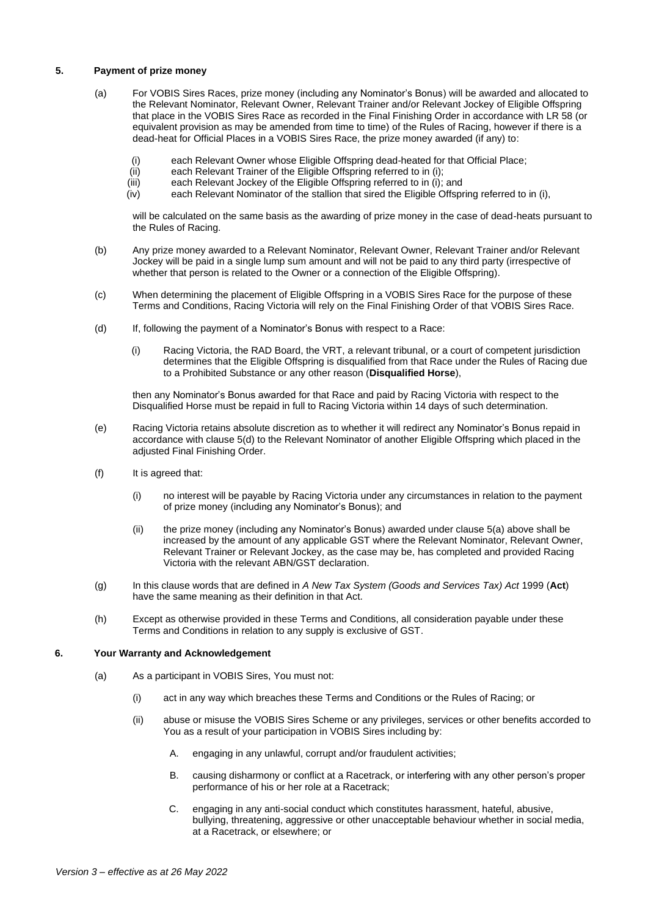## **5. Payment of prize money**

- (a) For VOBIS Sires Races, prize money (including any Nominator's Bonus) will be awarded and allocated to the Relevant Nominator, Relevant Owner, Relevant Trainer and/or Relevant Jockey of Eligible Offspring that place in the VOBIS Sires Race as recorded in the Final Finishing Order in accordance with LR 58 (or equivalent provision as may be amended from time to time) of the Rules of Racing, however if there is a dead-heat for Official Places in a VOBIS Sires Race, the prize money awarded (if any) to:
	- (i) each Relevant Owner whose Eligible Offspring dead-heated for that Official Place;
	- (ii) each Relevant Trainer of the Eligible Offspring referred to in (i);
	- (iii) each Relevant Jockey of the Eligible Offspring referred to in (i); and
	- (iv) each Relevant Nominator of the stallion that sired the Eligible Offspring referred to in (i),

will be calculated on the same basis as the awarding of prize money in the case of dead-heats pursuant to the Rules of Racing.

- (b) Any prize money awarded to a Relevant Nominator, Relevant Owner, Relevant Trainer and/or Relevant Jockey will be paid in a single lump sum amount and will not be paid to any third party (irrespective of whether that person is related to the Owner or a connection of the Eligible Offspring).
- (c) When determining the placement of Eligible Offspring in a VOBIS Sires Race for the purpose of these Terms and Conditions, Racing Victoria will rely on the Final Finishing Order of that VOBIS Sires Race.
- (d) If, following the payment of a Nominator's Bonus with respect to a Race:
	- (i) Racing Victoria, the RAD Board, the VRT, a relevant tribunal, or a court of competent jurisdiction determines that the Eligible Offspring is disqualified from that Race under the Rules of Racing due to a Prohibited Substance or any other reason (**Disqualified Horse**),

then any Nominator's Bonus awarded for that Race and paid by Racing Victoria with respect to the Disqualified Horse must be repaid in full to Racing Victoria within 14 days of such determination.

- (e) Racing Victoria retains absolute discretion as to whether it will redirect any Nominator's Bonus repaid in accordance with clause 5(d) to the Relevant Nominator of another Eligible Offspring which placed in the adjusted Final Finishing Order.
- (f) It is agreed that:
	- (i) no interest will be payable by Racing Victoria under any circumstances in relation to the payment of prize money (including any Nominator's Bonus); and
	- (ii) the prize money (including any Nominator's Bonus) awarded under clause 5(a) above shall be increased by the amount of any applicable GST where the Relevant Nominator, Relevant Owner, Relevant Trainer or Relevant Jockey, as the case may be, has completed and provided Racing Victoria with the relevant ABN/GST declaration.
- (g) In this clause words that are defined in *A New Tax System (Goods and Services Tax) Act* 1999 (**Act**) have the same meaning as their definition in that Act.
- (h) Except as otherwise provided in these Terms and Conditions, all consideration payable under these Terms and Conditions in relation to any supply is exclusive of GST.

### **6. Your Warranty and Acknowledgement**

- (a) As a participant in VOBIS Sires, You must not:
	- (i) act in any way which breaches these Terms and Conditions or the Rules of Racing; or
	- (ii) abuse or misuse the VOBIS Sires Scheme or any privileges, services or other benefits accorded to You as a result of your participation in VOBIS Sires including by:
		- A. engaging in any unlawful, corrupt and/or fraudulent activities;
		- B. causing disharmony or conflict at a Racetrack, or interfering with any other person's proper performance of his or her role at a Racetrack;
		- C. engaging in any anti-social conduct which constitutes harassment, hateful, abusive, bullying, threatening, aggressive or other unacceptable behaviour whether in social media, at a Racetrack, or elsewhere; or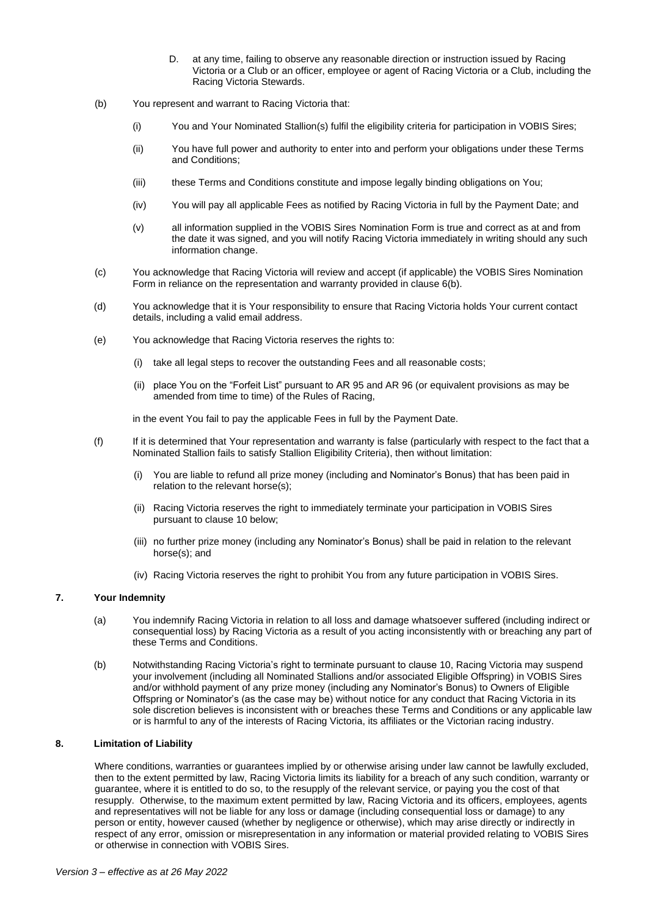- D. at any time, failing to observe any reasonable direction or instruction issued by Racing Victoria or a Club or an officer, employee or agent of Racing Victoria or a Club, including the Racing Victoria Stewards.
- (b) You represent and warrant to Racing Victoria that:
	- (i) You and Your Nominated Stallion(s) fulfil the eligibility criteria for participation in VOBIS Sires;
	- (ii) You have full power and authority to enter into and perform your obligations under these Terms and Conditions;
	- (iii) these Terms and Conditions constitute and impose legally binding obligations on You;
	- (iv) You will pay all applicable Fees as notified by Racing Victoria in full by the Payment Date; and
	- (v) all information supplied in the VOBIS Sires Nomination Form is true and correct as at and from the date it was signed, and you will notify Racing Victoria immediately in writing should any such information change.
- (c) You acknowledge that Racing Victoria will review and accept (if applicable) the VOBIS Sires Nomination Form in reliance on the representation and warranty provided in clause 6(b).
- (d) You acknowledge that it is Your responsibility to ensure that Racing Victoria holds Your current contact details, including a valid email address.
- (e) You acknowledge that Racing Victoria reserves the rights to:
	- (i) take all legal steps to recover the outstanding Fees and all reasonable costs;
	- (ii) place You on the "Forfeit List" pursuant to AR 95 and AR 96 (or equivalent provisions as may be amended from time to time) of the Rules of Racing,

in the event You fail to pay the applicable Fees in full by the Payment Date.

- (f) If it is determined that Your representation and warranty is false (particularly with respect to the fact that a Nominated Stallion fails to satisfy Stallion Eligibility Criteria), then without limitation:
	- (i) You are liable to refund all prize money (including and Nominator's Bonus) that has been paid in relation to the relevant horse(s);
	- (ii) Racing Victoria reserves the right to immediately terminate your participation in VOBIS Sires pursuant to clause 10 below;
	- (iii) no further prize money (including any Nominator's Bonus) shall be paid in relation to the relevant horse(s); and
	- (iv) Racing Victoria reserves the right to prohibit You from any future participation in VOBIS Sires.

# **7. Your Indemnity**

- (a) You indemnify Racing Victoria in relation to all loss and damage whatsoever suffered (including indirect or consequential loss) by Racing Victoria as a result of you acting inconsistently with or breaching any part of these Terms and Conditions.
- (b) Notwithstanding Racing Victoria's right to terminate pursuant to clause 10, Racing Victoria may suspend your involvement (including all Nominated Stallions and/or associated Eligible Offspring) in VOBIS Sires and/or withhold payment of any prize money (including any Nominator's Bonus) to Owners of Eligible Offspring or Nominator's (as the case may be) without notice for any conduct that Racing Victoria in its sole discretion believes is inconsistent with or breaches these Terms and Conditions or any applicable law or is harmful to any of the interests of Racing Victoria, its affiliates or the Victorian racing industry.

# **8. Limitation of Liability**

Where conditions, warranties or guarantees implied by or otherwise arising under law cannot be lawfully excluded, then to the extent permitted by law, Racing Victoria limits its liability for a breach of any such condition, warranty or guarantee, where it is entitled to do so, to the resupply of the relevant service, or paying you the cost of that resupply. Otherwise, to the maximum extent permitted by law, Racing Victoria and its officers, employees, agents and representatives will not be liable for any loss or damage (including consequential loss or damage) to any person or entity, however caused (whether by negligence or otherwise), which may arise directly or indirectly in respect of any error, omission or misrepresentation in any information or material provided relating to VOBIS Sires or otherwise in connection with VOBIS Sires.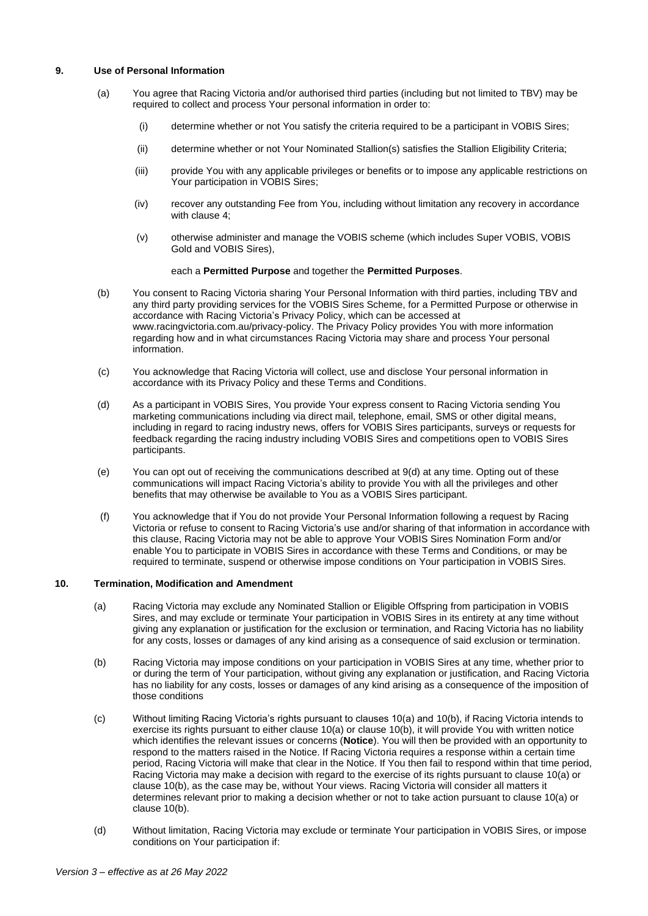## **9. Use of Personal Information**

- (a) You agree that Racing Victoria and/or authorised third parties (including but not limited to TBV) may be required to collect and process Your personal information in order to:
	- (i) determine whether or not You satisfy the criteria required to be a participant in VOBIS Sires;
	- (ii) determine whether or not Your Nominated Stallion(s) satisfies the Stallion Eligibility Criteria;
	- (iii) provide You with any applicable privileges or benefits or to impose any applicable restrictions on Your participation in VOBIS Sires;
	- (iv) recover any outstanding Fee from You, including without limitation any recovery in accordance with clause 4;
	- (v) otherwise administer and manage the VOBIS scheme (which includes Super VOBIS, VOBIS Gold and VOBIS Sires),

#### each a **Permitted Purpose** and together the **Permitted Purposes**.

- (b) You consent to Racing Victoria sharing Your Personal Information with third parties, including TBV and any third party providing services for the VOBIS Sires Scheme, for a Permitted Purpose or otherwise in accordance with Racing Victoria's Privacy Policy, which can be accessed at www.racingvictoria.com.au/privacy-policy. The Privacy Policy provides You with more information regarding how and in what circumstances Racing Victoria may share and process Your personal information.
- (c) You acknowledge that Racing Victoria will collect, use and disclose Your personal information in accordance with its Privacy Policy and these Terms and Conditions.
- (d) As a participant in VOBIS Sires, You provide Your express consent to Racing Victoria sending You marketing communications including via direct mail, telephone, email, SMS or other digital means, including in regard to racing industry news, offers for VOBIS Sires participants, surveys or requests for feedback regarding the racing industry including VOBIS Sires and competitions open to VOBIS Sires participants.
- (e) You can opt out of receiving the communications described at 9(d) at any time. Opting out of these communications will impact Racing Victoria's ability to provide You with all the privileges and other benefits that may otherwise be available to You as a VOBIS Sires participant.
- (f) You acknowledge that if You do not provide Your Personal Information following a request by Racing Victoria or refuse to consent to Racing Victoria's use and/or sharing of that information in accordance with this clause, Racing Victoria may not be able to approve Your VOBIS Sires Nomination Form and/or enable You to participate in VOBIS Sires in accordance with these Terms and Conditions, or may be required to terminate, suspend or otherwise impose conditions on Your participation in VOBIS Sires.

### **10. Termination, Modification and Amendment**

- (a) Racing Victoria may exclude any Nominated Stallion or Eligible Offspring from participation in VOBIS Sires, and may exclude or terminate Your participation in VOBIS Sires in its entirety at any time without giving any explanation or justification for the exclusion or termination, and Racing Victoria has no liability for any costs, losses or damages of any kind arising as a consequence of said exclusion or termination.
- (b) Racing Victoria may impose conditions on your participation in VOBIS Sires at any time, whether prior to or during the term of Your participation, without giving any explanation or justification, and Racing Victoria has no liability for any costs, losses or damages of any kind arising as a consequence of the imposition of those conditions
- (c) Without limiting Racing Victoria's rights pursuant to clauses 10(a) and 10(b), if Racing Victoria intends to exercise its rights pursuant to either clause 10(a) or clause 10(b), it will provide You with written notice which identifies the relevant issues or concerns (**Notice**). You will then be provided with an opportunity to respond to the matters raised in the Notice. If Racing Victoria requires a response within a certain time period, Racing Victoria will make that clear in the Notice. If You then fail to respond within that time period, Racing Victoria may make a decision with regard to the exercise of its rights pursuant to clause 10(a) or clause 10(b), as the case may be, without Your views. Racing Victoria will consider all matters it determines relevant prior to making a decision whether or not to take action pursuant to clause 10(a) or clause 10(b).
- (d) Without limitation, Racing Victoria may exclude or terminate Your participation in VOBIS Sires, or impose conditions on Your participation if: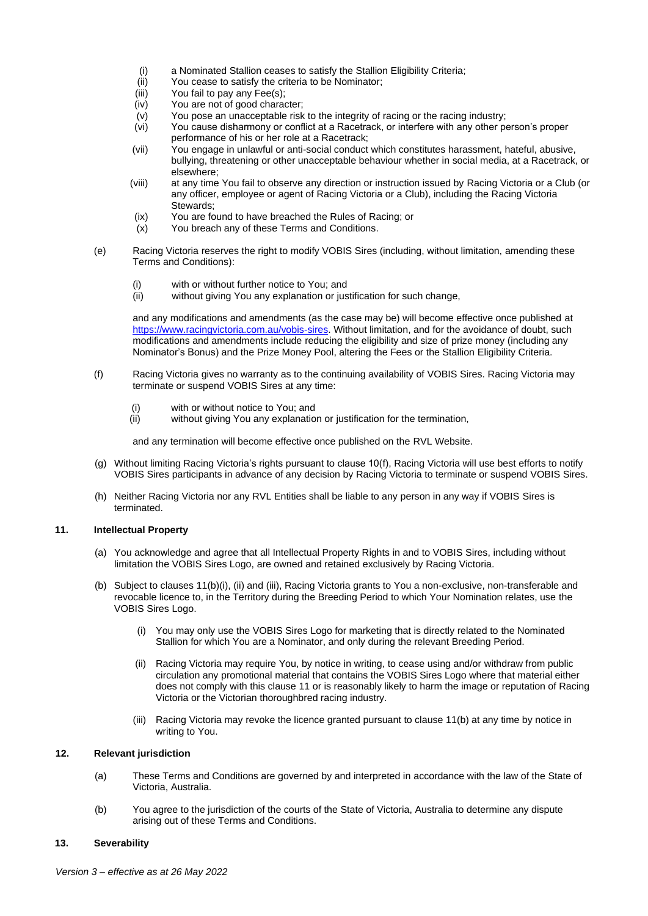- (i) a Nominated Stallion ceases to satisfy the Stallion Eligibility Criteria;
- (ii) You cease to satisfy the criteria to be Nominator;
- $(iii)$  You fail to pay any Fee(s);
- (iv) You are not of good character;
- (v) You pose an unacceptable risk to the integrity of racing or the racing industry;
- (vi) You cause disharmony or conflict at a Racetrack, or interfere with any other person's proper performance of his or her role at a Racetrack;
- (vii) You engage in unlawful or anti-social conduct which constitutes harassment, hateful, abusive, bullying, threatening or other unacceptable behaviour whether in social media, at a Racetrack, or elsewhere;
- (viii) at any time You fail to observe any direction or instruction issued by Racing Victoria or a Club (or any officer, employee or agent of Racing Victoria or a Club), including the Racing Victoria Stewards;
- (ix) You are found to have breached the Rules of Racing; or
- (x) You breach any of these Terms and Conditions.
- (e) Racing Victoria reserves the right to modify VOBIS Sires (including, without limitation, amending these Terms and Conditions):
	- (i) with or without further notice to You; and
	- (ii) without giving You any explanation or justification for such change,

and any modifications and amendments (as the case may be) will become effective once published at https://www.racingvictoria.com.au/vobis-sires. Without limitation, and for the avoidance of doubt, such modifications and amendments include reducing the eligibility and size of prize money (including any Nominator's Bonus) and the Prize Money Pool, altering the Fees or the Stallion Eligibility Criteria.

- (f) Racing Victoria gives no warranty as to the continuing availability of VOBIS Sires. Racing Victoria may terminate or suspend VOBIS Sires at any time:
	- (i) with or without notice to You; and
	- (ii) without giving You any explanation or justification for the termination,

and any termination will become effective once published on the RVL Website.

- (g) Without limiting Racing Victoria's rights pursuant to clause 10(f), Racing Victoria will use best efforts to notify VOBIS Sires participants in advance of any decision by Racing Victoria to terminate or suspend VOBIS Sires.
- (h) Neither Racing Victoria nor any RVL Entities shall be liable to any person in any way if VOBIS Sires is terminated.

### **11. Intellectual Property**

- (a) You acknowledge and agree that all Intellectual Property Rights in and to VOBIS Sires, including without limitation the VOBIS Sires Logo, are owned and retained exclusively by Racing Victoria.
- (b) Subject to clauses 11(b)(i), (ii) and (iii), Racing Victoria grants to You a non-exclusive, non-transferable and revocable licence to, in the Territory during the Breeding Period to which Your Nomination relates, use the VOBIS Sires Logo.
	- (i) You may only use the VOBIS Sires Logo for marketing that is directly related to the Nominated Stallion for which You are a Nominator, and only during the relevant Breeding Period.
	- (ii) Racing Victoria may require You, by notice in writing, to cease using and/or withdraw from public circulation any promotional material that contains the VOBIS Sires Logo where that material either does not comply with this clause 11 or is reasonably likely to harm the image or reputation of Racing Victoria or the Victorian thoroughbred racing industry.
	- (iii) Racing Victoria may revoke the licence granted pursuant to clause 11(b) at any time by notice in writing to You.

## **12. Relevant jurisdiction**

- (a) These Terms and Conditions are governed by and interpreted in accordance with the law of the State of Victoria, Australia.
- (b) You agree to the jurisdiction of the courts of the State of Victoria, Australia to determine any dispute arising out of these Terms and Conditions.

### **13. Severability**